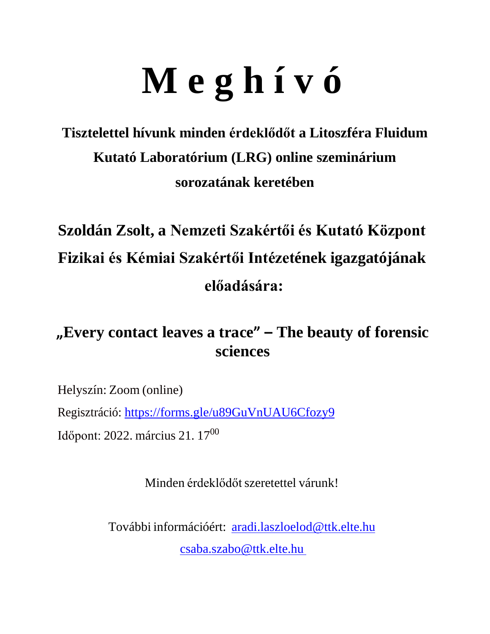# **M e g h í v ó**

### **Tisztelettel hívunk minden érdeklődőt a Litoszféra Fluidum Kutató Laboratórium (LRG) online szeminárium sorozatának keretében**

## **Szoldán Zsolt, a Nemzeti Szakértői és Kutató Központ Fizikai és Kémiai Szakértői Intézetének igazgatójának előadására:**

#### **"Every contact leaves a trace" – The beauty of forensic sciences**

Helyszín: Zoom (online) Regisztráció: <https://forms.gle/u89GuVnUAU6Cfozy9> Időpont: 2022. március 21. 17<sup>00</sup>

Minden érdeklődőt szeretettel várunk!

További információért: [aradi.laszloelod@ttk.elte.hu](mailto:aradi.laszloelod@ttk.elte.hu) [csaba.szabo@ttk.elte.hu](mailto:csaba.szabo@ttk.elte.hu)